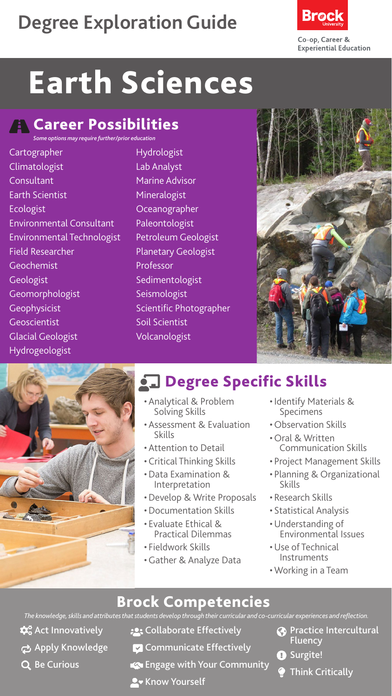## **Degree Exploration Guide**



# Earth Sciences

#### **A** Career Possibilities *Some options may require further/prior education*

Cartographer Climatologist Consultant Earth Scientist Ecologist Environmental Consultant Environmental Technologist Field Researcher Geochemist **Geologist** Geomorphologist Geophysicist Geoscientist Glacial Geologist Hydrogeologist

Hydrologist Lab Analyst Marine Advisor Mineralogist **Oceanographer** Paleontologist Petroleum Geologist Planetary Geologist Professor Sedimentologist Seismologist Scientific Photographer Soil Scientist Volcanologist





## **chalace Specific Skills**

- Analytical & Problem Solving Skills
- Assessment & Evaluation<br>Skills
- Attention to Detail
- Critical Thinking Skills
- •Data Examination & Interpretation
- •Develop & Write Proposals
- •Documentation Skills
- Evaluate Ethical & Practical Dilemmas
- Fieldwork Skills
- •Gather & Analyze Data
- Identify Materials & Specimens
- Observation Skills
- Oral & Written Communication Skills
- Project Management Skills
- Planning & Organizational Skills
- Research Skills
- Statistical Analysis
- •Understanding of Environmental Issues
- •Use of Technical Instruments
- Working in a Team

### Brock Competencies

*The knowledge, skills and attributes that students develop through their curricular and co-curricular experiences and reflection.*

- $\boldsymbol{\phi}_{\alpha}^{\alpha}$  Act Innovatively
- Apply Knowledge
- Q Be Curious
- **:** Collaborate Effectively
- **Communicate Effectively**
- Engage with Your Community
- **A** Know Yourself
- **Co** Practice Intercultural Fluency
- **O** Surgite!
	- Think Critically